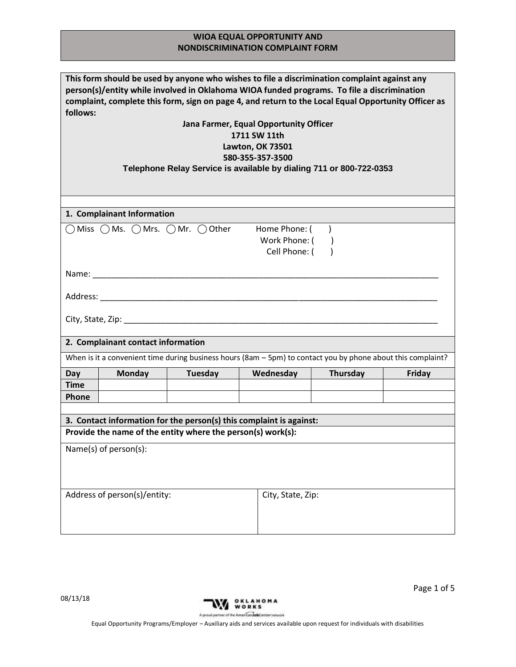| This form should be used by anyone who wishes to file a discrimination complaint against any<br>person(s)/entity while involved in Oklahoma WIOA funded programs. To file a discrimination<br>complaint, complete this form, sign on page 4, and return to the Local Equal Opportunity Officer as<br>follows: |  |  |  |  |  |
|---------------------------------------------------------------------------------------------------------------------------------------------------------------------------------------------------------------------------------------------------------------------------------------------------------------|--|--|--|--|--|
| Jana Farmer, Equal Opportunity Officer                                                                                                                                                                                                                                                                        |  |  |  |  |  |
| 1711 SW 11th                                                                                                                                                                                                                                                                                                  |  |  |  |  |  |
| <b>Lawton, OK 73501</b>                                                                                                                                                                                                                                                                                       |  |  |  |  |  |
| 580-355-357-3500                                                                                                                                                                                                                                                                                              |  |  |  |  |  |
| Telephone Relay Service is available by dialing 711 or 800-722-0353                                                                                                                                                                                                                                           |  |  |  |  |  |
|                                                                                                                                                                                                                                                                                                               |  |  |  |  |  |
|                                                                                                                                                                                                                                                                                                               |  |  |  |  |  |
|                                                                                                                                                                                                                                                                                                               |  |  |  |  |  |
| 1. Complainant Information                                                                                                                                                                                                                                                                                    |  |  |  |  |  |
| $\bigcap$ Miss $\bigcap$ Ms. $\bigcap$ Mrs. $\bigcap$ Mr. $\bigcap$ Other<br>Home Phone: (                                                                                                                                                                                                                    |  |  |  |  |  |
| Work Phone: (                                                                                                                                                                                                                                                                                                 |  |  |  |  |  |
| Cell Phone: (                                                                                                                                                                                                                                                                                                 |  |  |  |  |  |
|                                                                                                                                                                                                                                                                                                               |  |  |  |  |  |
|                                                                                                                                                                                                                                                                                                               |  |  |  |  |  |
|                                                                                                                                                                                                                                                                                                               |  |  |  |  |  |
| Address: Andreas Address: Address: Address: Address: Address: Address: Address: Address: Address: A                                                                                                                                                                                                           |  |  |  |  |  |
|                                                                                                                                                                                                                                                                                                               |  |  |  |  |  |
|                                                                                                                                                                                                                                                                                                               |  |  |  |  |  |
|                                                                                                                                                                                                                                                                                                               |  |  |  |  |  |
|                                                                                                                                                                                                                                                                                                               |  |  |  |  |  |
| 2. Complainant contact information                                                                                                                                                                                                                                                                            |  |  |  |  |  |
|                                                                                                                                                                                                                                                                                                               |  |  |  |  |  |
| When is it a convenient time during business hours (8am $-$ 5pm) to contact you by phone about this complaint?                                                                                                                                                                                                |  |  |  |  |  |
| Tuesday<br>Wednesday<br>Thursday<br><b>Monday</b><br>Friday<br>Day                                                                                                                                                                                                                                            |  |  |  |  |  |
| <b>Time</b>                                                                                                                                                                                                                                                                                                   |  |  |  |  |  |
| Phone                                                                                                                                                                                                                                                                                                         |  |  |  |  |  |
|                                                                                                                                                                                                                                                                                                               |  |  |  |  |  |
| 3. Contact information for the person(s) this complaint is against:                                                                                                                                                                                                                                           |  |  |  |  |  |
| Provide the name of the entity where the person(s) work(s):                                                                                                                                                                                                                                                   |  |  |  |  |  |
|                                                                                                                                                                                                                                                                                                               |  |  |  |  |  |
| Name(s) of $person(s)$ :                                                                                                                                                                                                                                                                                      |  |  |  |  |  |
|                                                                                                                                                                                                                                                                                                               |  |  |  |  |  |
|                                                                                                                                                                                                                                                                                                               |  |  |  |  |  |
|                                                                                                                                                                                                                                                                                                               |  |  |  |  |  |
| Address of person(s)/entity:<br>City, State, Zip:                                                                                                                                                                                                                                                             |  |  |  |  |  |
|                                                                                                                                                                                                                                                                                                               |  |  |  |  |  |

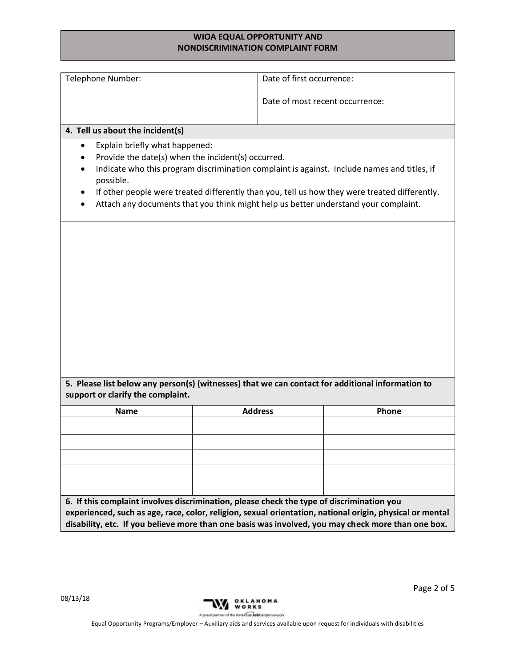| Telephone Number:                           | Date of first occurrence:                                                                                                                                                                                      |                                 |
|---------------------------------------------|----------------------------------------------------------------------------------------------------------------------------------------------------------------------------------------------------------------|---------------------------------|
|                                             |                                                                                                                                                                                                                |                                 |
|                                             |                                                                                                                                                                                                                | Date of most recent occurrence: |
|                                             |                                                                                                                                                                                                                |                                 |
| 4. Tell us about the incident(s)            |                                                                                                                                                                                                                |                                 |
| Explain briefly what happened:<br>$\bullet$ |                                                                                                                                                                                                                |                                 |
| $\bullet$                                   | Provide the date(s) when the incident(s) occurred.                                                                                                                                                             |                                 |
| $\bullet$<br>possible.                      | Indicate who this program discrimination complaint is against. Include names and titles, if                                                                                                                    |                                 |
| $\bullet$                                   | If other people were treated differently than you, tell us how they were treated differently.                                                                                                                  |                                 |
|                                             | Attach any documents that you think might help us better understand your complaint.                                                                                                                            |                                 |
|                                             |                                                                                                                                                                                                                |                                 |
|                                             |                                                                                                                                                                                                                |                                 |
|                                             |                                                                                                                                                                                                                |                                 |
|                                             |                                                                                                                                                                                                                |                                 |
|                                             |                                                                                                                                                                                                                |                                 |
|                                             |                                                                                                                                                                                                                |                                 |
|                                             |                                                                                                                                                                                                                |                                 |
|                                             |                                                                                                                                                                                                                |                                 |
|                                             |                                                                                                                                                                                                                |                                 |
|                                             |                                                                                                                                                                                                                |                                 |
|                                             |                                                                                                                                                                                                                |                                 |
|                                             |                                                                                                                                                                                                                |                                 |
|                                             |                                                                                                                                                                                                                |                                 |
|                                             |                                                                                                                                                                                                                |                                 |
|                                             |                                                                                                                                                                                                                |                                 |
|                                             |                                                                                                                                                                                                                |                                 |
|                                             |                                                                                                                                                                                                                |                                 |
|                                             | 5. Please list below any person(s) (witnesses) that we can contact for additional information to                                                                                                               |                                 |
|                                             |                                                                                                                                                                                                                |                                 |
| <b>Name</b>                                 | <b>Address</b>                                                                                                                                                                                                 | Phone                           |
|                                             |                                                                                                                                                                                                                |                                 |
| support or clarify the complaint.           |                                                                                                                                                                                                                |                                 |
|                                             |                                                                                                                                                                                                                |                                 |
|                                             |                                                                                                                                                                                                                |                                 |
|                                             |                                                                                                                                                                                                                |                                 |
|                                             |                                                                                                                                                                                                                |                                 |
|                                             | 6. If this complaint involves discrimination, please check the type of discrimination you                                                                                                                      |                                 |
|                                             | experienced, such as age, race, color, religion, sexual orientation, national origin, physical or mental<br>disability, etc. If you believe more than one basis was involved, you may check more than one box. |                                 |

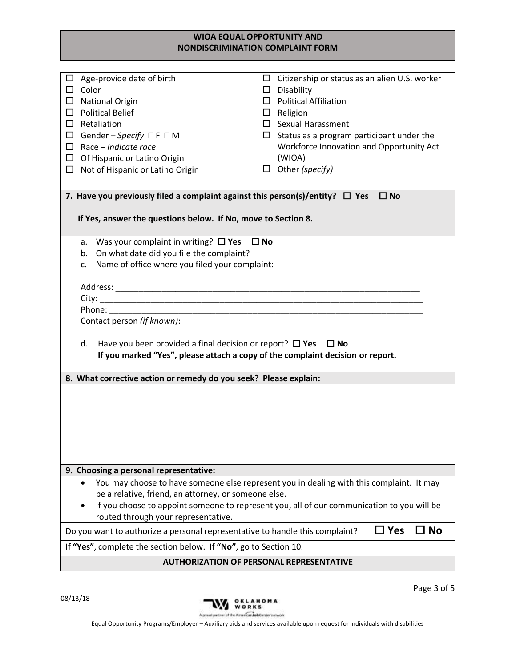| Age-provide date of birth<br>□<br>$\Box$ Color<br><b>National Origin</b><br>□<br><b>Political Belief</b><br>$\Box$<br>Retaliation<br>□<br>Gender – Specify □ F □ M<br>$\Box$<br>Race – indicate race<br>□<br>Of Hispanic or Latino Origin<br>$\Box$<br>Not of Hispanic or Latino Origin<br>□ | Citizenship or status as an alien U.S. worker<br>$\Box$<br>$\Box$ Disability<br>$\Box$ Political Affiliation<br>$\Box$ Religion<br>$\square$ Sexual Harassment<br>$\Box$ Status as a program participant under the<br>Workforce Innovation and Opportunity Act<br>(WIOA)<br>Other (specify)<br>$\Box$ |  |  |  |  |
|----------------------------------------------------------------------------------------------------------------------------------------------------------------------------------------------------------------------------------------------------------------------------------------------|-------------------------------------------------------------------------------------------------------------------------------------------------------------------------------------------------------------------------------------------------------------------------------------------------------|--|--|--|--|
| 7. Have you previously filed a complaint against this person(s)/entity? $\Box$ Yes                                                                                                                                                                                                           | $\square$ No                                                                                                                                                                                                                                                                                          |  |  |  |  |
| If Yes, answer the questions below. If No, move to Section 8.                                                                                                                                                                                                                                |                                                                                                                                                                                                                                                                                                       |  |  |  |  |
|                                                                                                                                                                                                                                                                                              |                                                                                                                                                                                                                                                                                                       |  |  |  |  |
| a. Was your complaint in writing? $\Box$ Yes $\Box$ No                                                                                                                                                                                                                                       |                                                                                                                                                                                                                                                                                                       |  |  |  |  |
| On what date did you file the complaint?<br>b.<br>Name of office where you filed your complaint:                                                                                                                                                                                             |                                                                                                                                                                                                                                                                                                       |  |  |  |  |
| c.                                                                                                                                                                                                                                                                                           |                                                                                                                                                                                                                                                                                                       |  |  |  |  |
|                                                                                                                                                                                                                                                                                              |                                                                                                                                                                                                                                                                                                       |  |  |  |  |
|                                                                                                                                                                                                                                                                                              |                                                                                                                                                                                                                                                                                                       |  |  |  |  |
| Phone: The control of the control of the control of the control of the control of the control of the control of the control of the control of the control of the control of the control of the control of the control of the c                                                               | <u> 1989 - Johann John Stone, markin sanadi amerikan bahasa dalam bahasa dalam bahasa dalam bahasa dalam bahasa d</u>                                                                                                                                                                                 |  |  |  |  |
| Contact person (if known): The contract person of the contract person (if known):                                                                                                                                                                                                            |                                                                                                                                                                                                                                                                                                       |  |  |  |  |
| d.<br>Have you been provided a final decision or report? $\Box$ Yes $\Box$ No<br>If you marked "Yes", please attach a copy of the complaint decision or report.                                                                                                                              |                                                                                                                                                                                                                                                                                                       |  |  |  |  |
| 8. What corrective action or remedy do you seek? Please explain:                                                                                                                                                                                                                             |                                                                                                                                                                                                                                                                                                       |  |  |  |  |
|                                                                                                                                                                                                                                                                                              |                                                                                                                                                                                                                                                                                                       |  |  |  |  |
|                                                                                                                                                                                                                                                                                              |                                                                                                                                                                                                                                                                                                       |  |  |  |  |
|                                                                                                                                                                                                                                                                                              |                                                                                                                                                                                                                                                                                                       |  |  |  |  |
|                                                                                                                                                                                                                                                                                              |                                                                                                                                                                                                                                                                                                       |  |  |  |  |
|                                                                                                                                                                                                                                                                                              |                                                                                                                                                                                                                                                                                                       |  |  |  |  |
|                                                                                                                                                                                                                                                                                              |                                                                                                                                                                                                                                                                                                       |  |  |  |  |
| 9. Choosing a personal representative:                                                                                                                                                                                                                                                       |                                                                                                                                                                                                                                                                                                       |  |  |  |  |
| You may choose to have someone else represent you in dealing with this complaint. It may                                                                                                                                                                                                     |                                                                                                                                                                                                                                                                                                       |  |  |  |  |
| be a relative, friend, an attorney, or someone else.                                                                                                                                                                                                                                         |                                                                                                                                                                                                                                                                                                       |  |  |  |  |
| If you choose to appoint someone to represent you, all of our communication to you will be                                                                                                                                                                                                   |                                                                                                                                                                                                                                                                                                       |  |  |  |  |
| routed through your representative.                                                                                                                                                                                                                                                          |                                                                                                                                                                                                                                                                                                       |  |  |  |  |
| Do you want to authorize a personal representative to handle this complaint?                                                                                                                                                                                                                 | $\Box$ Yes<br>O ∏                                                                                                                                                                                                                                                                                     |  |  |  |  |
| If "Yes", complete the section below. If "No", go to Section 10.                                                                                                                                                                                                                             |                                                                                                                                                                                                                                                                                                       |  |  |  |  |
| <b>AUTHORIZATION OF PERSONAL REPRESENTATIVE</b>                                                                                                                                                                                                                                              |                                                                                                                                                                                                                                                                                                       |  |  |  |  |

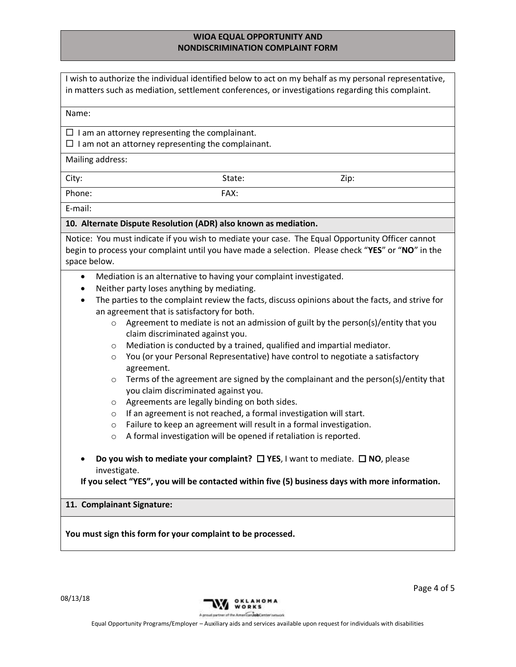| I wish to authorize the individual identified below to act on my behalf as my personal representative,<br>in matters such as mediation, settlement conferences, or investigations regarding this complaint.            |  |  |  |  |
|------------------------------------------------------------------------------------------------------------------------------------------------------------------------------------------------------------------------|--|--|--|--|
| Name:                                                                                                                                                                                                                  |  |  |  |  |
| $\Box$ I am an attorney representing the complainant.<br>$\Box$ I am not an attorney representing the complainant.                                                                                                     |  |  |  |  |
| Mailing address:                                                                                                                                                                                                       |  |  |  |  |
| City:<br>State:<br>Zip:                                                                                                                                                                                                |  |  |  |  |
| Phone:<br>FAX:                                                                                                                                                                                                         |  |  |  |  |
| E-mail:                                                                                                                                                                                                                |  |  |  |  |
| 10. Alternate Dispute Resolution (ADR) also known as mediation.                                                                                                                                                        |  |  |  |  |
| Notice: You must indicate if you wish to mediate your case. The Equal Opportunity Officer cannot<br>begin to process your complaint until you have made a selection. Please check "YES" or "NO" in the<br>space below. |  |  |  |  |
| Mediation is an alternative to having your complaint investigated.<br>$\bullet$                                                                                                                                        |  |  |  |  |
| Neither party loses anything by mediating.                                                                                                                                                                             |  |  |  |  |
| The parties to the complaint review the facts, discuss opinions about the facts, and strive for<br>$\bullet$<br>an agreement that is satisfactory for both.                                                            |  |  |  |  |
| Agreement to mediate is not an admission of guilt by the person(s)/entity that you<br>$\circ$<br>claim discriminated against you.                                                                                      |  |  |  |  |
| Mediation is conducted by a trained, qualified and impartial mediator.<br>O                                                                                                                                            |  |  |  |  |
| You (or your Personal Representative) have control to negotiate a satisfactory<br>$\circ$<br>agreement.                                                                                                                |  |  |  |  |
| Terms of the agreement are signed by the complainant and the person(s)/entity that<br>O<br>you claim discriminated against you.                                                                                        |  |  |  |  |
| Agreements are legally binding on both sides.<br>O                                                                                                                                                                     |  |  |  |  |
| If an agreement is not reached, a formal investigation will start.<br>O                                                                                                                                                |  |  |  |  |
| Failure to keep an agreement will result in a formal investigation.<br>$\circ$<br>A formal investigation will be opened if retaliation is reported.<br>$\circ$                                                         |  |  |  |  |
| Do you wish to mediate your complaint? $\square$ YES, I want to mediate. $\square$ NO, please<br>investigate.<br>If you select "YES", you will be contacted within five (5) business days with more information.       |  |  |  |  |
| 11. Complainant Signature:                                                                                                                                                                                             |  |  |  |  |
| You must sign this form for your complaint to be processed.                                                                                                                                                            |  |  |  |  |